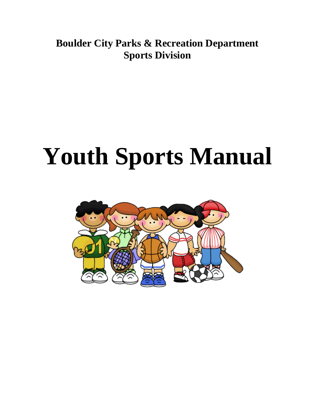**Boulder City Parks & Recreation Department Sports Division**

# **Youth Sports Manual**

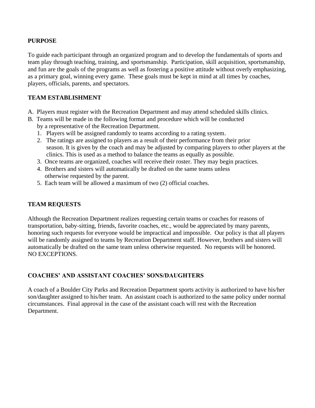#### **PURPOSE**

To guide each participant through an organized program and to develop the fundamentals of sports and team play through teaching, training, and sportsmanship. Participation, skill acquisition, sportsmanship, and fun are the goals of the programs as well as fostering a positive attitude without overly emphasizing, as a primary goal, winning every game. These goals must be kept in mind at all times by coaches, players, officials, parents, and spectators.

#### **TEAM ESTABLISHMENT**

- A. Players must register with the Recreation Department and may attend scheduled skills clinics.
- B. Teams will be made in the following format and procedure which will be conducted by a representative of the Recreation Department.
	- 1. Players will be assigned randomly to teams according to a rating system.
	- 2. The ratings are assigned to players as a result of their performance from their prior season. It is given by the coach and may be adjusted by comparing players to other players at the clinics. This is used as a method to balance the teams as equally as possible.
	- 3. Once teams are organized, coaches will receive their roster. They may begin practices.
	- 4. Brothers and sisters will automatically be drafted on the same teams unless otherwise requested by the parent.
	- 5. Each team will be allowed a maximum of two (2) official coaches.

#### **TEAM REQUESTS**

Although the Recreation Department realizes requesting certain teams or coaches for reasons of transportation, baby-sitting, friends, favorite coaches, etc., would be appreciated by many parents, honoring such requests for everyone would be impractical and impossible. Our policy is that all players will be randomly assigned to teams by Recreation Department staff. However, brothers and sisters will automatically be drafted on the same team unless otherwise requested. No requests will be honored. NO EXCEPTIONS.

#### **COACHES' AND ASSISTANT COACHES' SONS/DAUGHTERS**

A coach of a Boulder City Parks and Recreation Department sports activity is authorized to have his/her son/daughter assigned to his/her team. An assistant coach is authorized to the same policy under normal circumstances. Final approval in the case of the assistant coach will rest with the Recreation Department.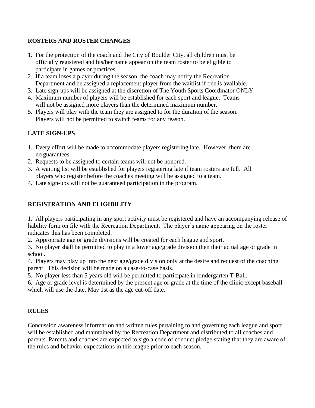## **ROSTERS AND ROSTER CHANGES**

- 1. For the protection of the coach and the City of Boulder City, all children must be officially registered and his/her name appear on the team roster to be eligible to participate in games or practices.
- 2. If a team loses a player during the season, the coach may notify the Recreation Department and be assigned a replacement player from the waitlist if one is available.
- 3. Late sign-ups will be assigned at the discretion of The Youth Sports Coordinator ONLY.
- 4. Maximum number of players will be established for each sport and league. Teams will not be assigned more players than the determined maximum number.
- 5. Players will play with the team they are assigned to for the duration of the season. Players will not be permitted to switch teams for any reason.

# **LATE SIGN-UPS**

- 1. Every effort will be made to accommodate players registering late. However, there are no guarantees.
- 2. Requests to be assigned to certain teams will not be honored.
- 3. A waiting list will be established for players registering late if team rosters are full. All players who register before the coaches meeting will be assigned to a team.
- 4. Late sign-ups will not be guaranteed participation in the program.

# **REGISTRATION AND ELIGIBILITY**

1. All players participating in any sport activity must be registered and have an accompanying release of liability form on file with the Recreation Department. The player's name appearing on the roster indicates this has been completed.

2. Appropriate age or grade divisions will be created for each league and sport.

3. No player shall be permitted to play in a lower age/grade division then their actual age or grade in school.

4. Players may play up into the next age/grade division only at the desire and request of the coaching parent. This decision will be made on a case-to-case basis.

5. No player less than 5 years old will be permitted to participate in kindergarten T-Ball.

6. Age or grade level is determined by the present age or grade at the time of the clinic except baseball which will use the date, May 1st as the age cut-off date.

## **RULES**

Concussion awareness information and written rules pertaining to and governing each league and sport will be established and maintained by the Recreation Department and distributed to all coaches and parents. Parents and coaches are expected to sign a code of conduct pledge stating that they are aware of the rules and behavior expectations in this league prior to each season.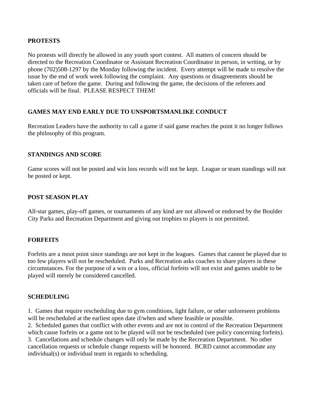#### **PROTESTS**

No protests will directly be allowed in any youth sport contest. All matters of concern should be directed to the Recreation Coordinator or Assistant Recreation Coordinator in person, in writing, or by phone (702)508-1297 by the Monday following the incident. Every attempt will be made to resolve the issue by the end of work week following the complaint. Any questions or disagreements should be taken care of before the game. During and following the game, the decisions of the referees and officials will be final. PLEASE RESPECT THEM!

#### **GAMES MAY END EARLY DUE TO UNSPORTSMANLIKE CONDUCT**

Recreation Leaders have the authority to call a game if said game reaches the point it no longer follows the philosophy of this program.

#### **STANDINGS AND SCORE**

Game scores will not be posted and win loss records will not be kept. League or team standings will not be posted or kept.

#### **POST SEASON PLAY**

All-star games, play-off games, or tournaments of any kind are not allowed or endorsed by the Boulder City Parks and Recreation Department and giving out trophies to players is not permitted.

#### **FORFEITS**

Forfeits are a moot point since standings are not kept in the leagues. Games that cannot be played due to too few players will not be rescheduled. Parks and Recreation asks coaches to share players in these circumstances. For the purpose of a win or a loss, official forfeits will not exist and games unable to be played will merely be considered cancelled.

#### **SCHEDULING**

1. Games that require rescheduling due to gym conditions, light failure, or other unforeseen problems will be rescheduled at the earliest open date if/when and where feasible or possible.

2. Scheduled games that conflict with other events and are not in control of the Recreation Department which cause forfeits or a game not to be played will not be rescheduled (see policy concerning forfeits). 3. Cancellations and schedule changes will only be made by the Recreation Department. No other cancellation requests or schedule change requests will be honored. BCRD cannot accommodate any individual(s) or individual team in regards to scheduling.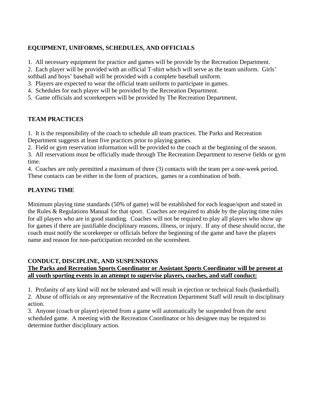## **EQUIPMENT, UNIFORMS, SCHEDULES, AND OFFICIALS**

1. All necessary equipment for practice and games will be provide by the Recreation Department.

2. Each player will be provided with an official T-shirt which will serve as the team uniform. Girls'

softball and boys' baseball will be provided with a complete baseball uniform.

- 3. Players are expected to wear the official team uniform to participate in games.
- 4. Schedules for each player will be provided by the Recreation Department.
- 5. Game officials and scorekeepers will be provided by The Recreation Department.

## **TEAM PRACTICES**

1. It is the responsibility of the coach to schedule all team practices. The Parks and Recreation Department suggests at least five practices prior to playing games.

2. Field or gym reservation information will be provided to the coach at the beginning of the season.

3. All reservations must be officially made through The Recreation Department to reserve fields or gym time.

4. Coaches are only permitted a maximum of three (3) contacts with the team per a one-week period. These contacts can be either in the form of practices, games or a combination of both.

#### **PLAYING TIME**

Minimum playing time standards (50% of game) will be established for each league/sport and stated in the Rules & Regulations Manual for that sport. Coaches are required to abide by the playing time rules for all players who are in good standing. Coaches will not be required to play all players who show up for games if there are justifiable disciplinary reasons, illness, or injury. If any of these should occur, the coach must notify the scorekeeper or officials before the beginning of the game and have the players name and reason for non-participation recorded on the scoresheet.

## **CONDUCT, DISCIPLINE, AND SUSPENSIONS**

#### **The Parks and Recreation Sports Coordinator or Assistant Sports Coordinator will be present at all youth sporting events in an attempt to supervise players, coaches, and staff conduct:**

1. Profanity of any kind will not be tolerated and will result in ejection or technical fouls (basketball).

2. Abuse of officials or any representative of the Recreation Department Staff will result in disciplinary action.

3. Anyone (coach or player) ejected from a game will automatically be suspended from the next scheduled game. A meeting with the Recreation Coordinator or his designee may be required to determine further disciplinary action.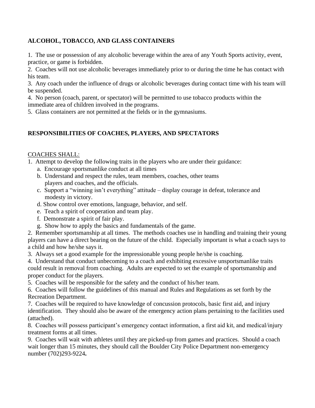## **ALCOHOL, TOBACCO, AND GLASS CONTAINERS**

1. The use or possession of any alcoholic beverage within the area of any Youth Sports activity, event, practice, or game is forbidden.

2. Coaches will not use alcoholic beverages immediately prior to or during the time he has contact with his team.

3. Any coach under the influence of drugs or alcoholic beverages during contact time with his team will be suspended.

4. No person (coach, parent, or spectator) will be permitted to use tobacco products within the immediate area of children involved in the programs.

5. Glass containers are not permitted at the fields or in the gymnasiums.

#### **RESPONSIBILITIES OF COACHES, PLAYERS, AND SPECTATORS**

#### COACHES SHALL:

- 1. Attempt to develop the following traits in the players who are under their guidance:
	- a. Encourage sportsmanlike conduct at all times
	- b. Understand and respect the rules, team members, coaches, other teams players and coaches, and the officials.
	- c. Support a "winning isn't everything" attitude display courage in defeat, tolerance and modesty in victory.
	- d. Show control over emotions, language, behavior, and self.
	- e. Teach a spirit of cooperation and team play.
	- f. Demonstrate a spirit of fair play.
	- g. Show how to apply the basics and fundamentals of the game.

2. Remember sportsmanship at all times. The methods coaches use in handling and training their young players can have a direct bearing on the future of the child. Especially important is what a coach says to a child and how he/she says it.

3. Always set a good example for the impressionable young people he/she is coaching.

4. Understand that conduct unbecoming to a coach and exhibiting excessive unsportsmanlike traits could result in removal from coaching. Adults are expected to set the example of sportsmanship and proper conduct for the players.

5. Coaches will be responsible for the safety and the conduct of his/her team.

6. Coaches will follow the guidelines of this manual and Rules and Regulations as set forth by the Recreation Department.

7. Coaches will be required to have knowledge of concussion protocols, basic first aid, and injury identification. They should also be aware of the emergency action plans pertaining to the facilities used (attached).

8. Coaches will possess participant's emergency contact information, a first aid kit, and medical/injury treatment forms at all times.

9. Coaches will wait with athletes until they are picked-up from games and practices. Should a coach wait longer than 15 minutes, they should call the Boulder City Police Department non-emergency number (702)293-9224**.**